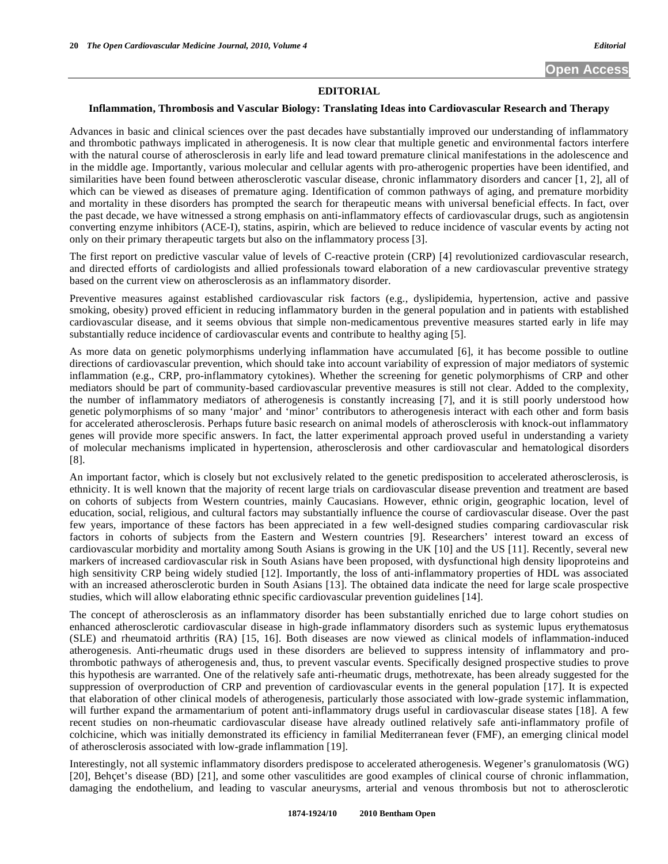## **EDITORIAL**

## **Inflammation, Thrombosis and Vascular Biology: Translating Ideas into Cardiovascular Research and Therapy**

Advances in basic and clinical sciences over the past decades have substantially improved our understanding of inflammatory and thrombotic pathways implicated in atherogenesis. It is now clear that multiple genetic and environmental factors interfere with the natural course of atherosclerosis in early life and lead toward premature clinical manifestations in the adolescence and in the middle age. Importantly, various molecular and cellular agents with pro-atherogenic properties have been identified, and similarities have been found between atherosclerotic vascular disease, chronic inflammatory disorders and cancer [1, 2], all of which can be viewed as diseases of premature aging. Identification of common pathways of aging, and premature morbidity and mortality in these disorders has prompted the search for therapeutic means with universal beneficial effects. In fact, over the past decade, we have witnessed a strong emphasis on anti-inflammatory effects of cardiovascular drugs, such as angiotensin converting enzyme inhibitors (ACE-I), statins, aspirin, which are believed to reduce incidence of vascular events by acting not only on their primary therapeutic targets but also on the inflammatory process [3].

The first report on predictive vascular value of levels of C-reactive protein (CRP) [4] revolutionized cardiovascular research, and directed efforts of cardiologists and allied professionals toward elaboration of a new cardiovascular preventive strategy based on the current view on atherosclerosis as an inflammatory disorder.

Preventive measures against established cardiovascular risk factors (e.g., dyslipidemia, hypertension, active and passive smoking, obesity) proved efficient in reducing inflammatory burden in the general population and in patients with established cardiovascular disease, and it seems obvious that simple non-medicamentous preventive measures started early in life may substantially reduce incidence of cardiovascular events and contribute to healthy aging [5].

As more data on genetic polymorphisms underlying inflammation have accumulated [6], it has become possible to outline directions of cardiovascular prevention, which should take into account variability of expression of major mediators of systemic inflammation (e.g., CRP, pro-inflammatory cytokines). Whether the screening for genetic polymorphisms of CRP and other mediators should be part of community-based cardiovascular preventive measures is still not clear. Added to the complexity, the number of inflammatory mediators of atherogenesis is constantly increasing [7], and it is still poorly understood how genetic polymorphisms of so many 'major' and 'minor' contributors to atherogenesis interact with each other and form basis for accelerated atherosclerosis. Perhaps future basic research on animal models of atherosclerosis with knock-out inflammatory genes will provide more specific answers. In fact, the latter experimental approach proved useful in understanding a variety of molecular mechanisms implicated in hypertension, atherosclerosis and other cardiovascular and hematological disorders [8].

An important factor, which is closely but not exclusively related to the genetic predisposition to accelerated atherosclerosis, is ethnicity. It is well known that the majority of recent large trials on cardiovascular disease prevention and treatment are based on cohorts of subjects from Western countries, mainly Caucasians. However, ethnic origin, geographic location, level of education, social, religious, and cultural factors may substantially influence the course of cardiovascular disease. Over the past few years, importance of these factors has been appreciated in a few well-designed studies comparing cardiovascular risk factors in cohorts of subjects from the Eastern and Western countries [9]. Researchers' interest toward an excess of cardiovascular morbidity and mortality among South Asians is growing in the UK [10] and the US [11]. Recently, several new markers of increased cardiovascular risk in South Asians have been proposed, with dysfunctional high density lipoproteins and high sensitivity CRP being widely studied [12]. Importantly, the loss of anti-inflammatory properties of HDL was associated with an increased atherosclerotic burden in South Asians [13]. The obtained data indicate the need for large scale prospective studies, which will allow elaborating ethnic specific cardiovascular prevention guidelines [14].

The concept of atherosclerosis as an inflammatory disorder has been substantially enriched due to large cohort studies on enhanced atherosclerotic cardiovascular disease in high-grade inflammatory disorders such as systemic lupus erythematosus (SLE) and rheumatoid arthritis (RA) [15, 16]. Both diseases are now viewed as clinical models of inflammation-induced atherogenesis. Anti-rheumatic drugs used in these disorders are believed to suppress intensity of inflammatory and prothrombotic pathways of atherogenesis and, thus, to prevent vascular events. Specifically designed prospective studies to prove this hypothesis are warranted. One of the relatively safe anti-rheumatic drugs, methotrexate, has been already suggested for the suppression of overproduction of CRP and prevention of cardiovascular events in the general population [17]. It is expected that elaboration of other clinical models of atherogenesis, particularly those associated with low-grade systemic inflammation, will further expand the armamentarium of potent anti-inflammatory drugs useful in cardiovascular disease states [18]. A few recent studies on non-rheumatic cardiovascular disease have already outlined relatively safe anti-inflammatory profile of colchicine, which was initially demonstrated its efficiency in familial Mediterranean fever (FMF), an emerging clinical model of atherosclerosis associated with low-grade inflammation [19].

Interestingly, not all systemic inflammatory disorders predispose to accelerated atherogenesis. Wegener's granulomatosis (WG) [20], Behçet's disease (BD) [21], and some other vasculitides are good examples of clinical course of chronic inflammation, damaging the endothelium, and leading to vascular aneurysms, arterial and venous thrombosis but not to atherosclerotic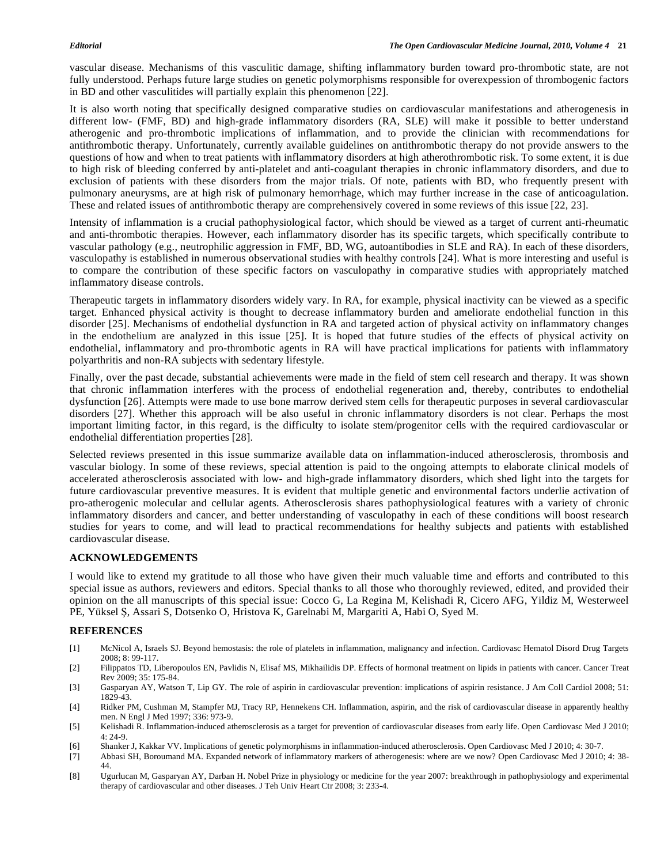vascular disease. Mechanisms of this vasculitic damage, shifting inflammatory burden toward pro-thrombotic state, are not fully understood. Perhaps future large studies on genetic polymorphisms responsible for overexpession of thrombogenic factors in BD and other vasculitides will partially explain this phenomenon [22].

It is also worth noting that specifically designed comparative studies on cardiovascular manifestations and atherogenesis in different low- (FMF, BD) and high-grade inflammatory disorders (RA, SLE) will make it possible to better understand atherogenic and pro-thrombotic implications of inflammation, and to provide the clinician with recommendations for antithrombotic therapy. Unfortunately, currently available guidelines on antithrombotic therapy do not provide answers to the questions of how and when to treat patients with inflammatory disorders at high atherothrombotic risk. To some extent, it is due to high risk of bleeding conferred by anti-platelet and anti-coagulant therapies in chronic inflammatory disorders, and due to exclusion of patients with these disorders from the major trials. Of note, patients with BD, who frequently present with pulmonary aneurysms, are at high risk of pulmonary hemorrhage, which may further increase in the case of anticoagulation. These and related issues of antithrombotic therapy are comprehensively covered in some reviews of this issue [22, 23].

Intensity of inflammation is a crucial pathophysiological factor, which should be viewed as a target of current anti-rheumatic and anti-thrombotic therapies. However, each inflammatory disorder has its specific targets, which specifically contribute to vascular pathology (e.g., neutrophilic aggression in FMF, BD, WG, autoantibodies in SLE and RA). In each of these disorders, vasculopathy is established in numerous observational studies with healthy controls [24]. What is more interesting and useful is to compare the contribution of these specific factors on vasculopathy in comparative studies with appropriately matched inflammatory disease controls.

Therapeutic targets in inflammatory disorders widely vary. In RA, for example, physical inactivity can be viewed as a specific target. Enhanced physical activity is thought to decrease inflammatory burden and ameliorate endothelial function in this disorder [25]. Mechanisms of endothelial dysfunction in RA and targeted action of physical activity on inflammatory changes in the endothelium are analyzed in this issue [25]. It is hoped that future studies of the effects of physical activity on endothelial, inflammatory and pro-thrombotic agents in RA will have practical implications for patients with inflammatory polyarthritis and non-RA subjects with sedentary lifestyle.

Finally, over the past decade, substantial achievements were made in the field of stem cell research and therapy. It was shown that chronic inflammation interferes with the process of endothelial regeneration and, thereby, contributes to endothelial dysfunction [26]. Attempts were made to use bone marrow derived stem cells for therapeutic purposes in several cardiovascular disorders [27]. Whether this approach will be also useful in chronic inflammatory disorders is not clear. Perhaps the most important limiting factor, in this regard, is the difficulty to isolate stem/progenitor cells with the required cardiovascular or endothelial differentiation properties [28].

Selected reviews presented in this issue summarize available data on inflammation-induced atherosclerosis, thrombosis and vascular biology. In some of these reviews, special attention is paid to the ongoing attempts to elaborate clinical models of accelerated atherosclerosis associated with low- and high-grade inflammatory disorders, which shed light into the targets for future cardiovascular preventive measures. It is evident that multiple genetic and environmental factors underlie activation of pro-atherogenic molecular and cellular agents. Atherosclerosis shares pathophysiological features with a variety of chronic inflammatory disorders and cancer, and better understanding of vasculopathy in each of these conditions will boost research studies for years to come, and will lead to practical recommendations for healthy subjects and patients with established cardiovascular disease.

# **ACKNOWLEDGEMENTS**

I would like to extend my gratitude to all those who have given their much valuable time and efforts and contributed to this special issue as authors, reviewers and editors. Special thanks to all those who thoroughly reviewed, edited, and provided their opinion on the all manuscripts of this special issue: Cocco G, La Regina M, Kelishadi R, Cicero AFG, Yildiz M, Westerweel PE, Yüksel S, Assari S, Dotsenko O, Hristova K, Garelnabi M, Margariti A, Habi O, Syed M.

# **REFERENCES**

- [1] McNicol A, Israels SJ. Beyond hemostasis: the role of platelets in inflammation, malignancy and infection. Cardiovasc Hematol Disord Drug Targets 2008; 8: 99-117.
- [2] Filippatos TD, Liberopoulos EN, Pavlidis N, Elisaf MS, Mikhailidis DP. Effects of hormonal treatment on lipids in patients with cancer. Cancer Treat Rev 2009; 35: 175-84.
- [3] Gasparyan AY, Watson T, Lip GY. The role of aspirin in cardiovascular prevention: implications of aspirin resistance. J Am Coll Cardiol 2008; 51: 1829-43.
- [4] Ridker PM, Cushman M, Stampfer MJ, Tracy RP, Hennekens CH. Inflammation, aspirin, and the risk of cardiovascular disease in apparently healthy men. N Engl J Med 1997; 336: 973-9.
- [5] Kelishadi R. Inflammation-induced atherosclerosis as a target for prevention of cardiovascular diseases from early life. Open Cardiovasc Med J 2010; 4: 24-9.
- [6] Shanker J, Kakkar VV. Implications of genetic polymorphisms in inflammation-induced atherosclerosis. Open Cardiovasc Med J 2010; 4: 30-7.
- [7] Abbasi SH, Boroumand MA. Expanded network of inflammatory markers of atherogenesis: where are we now? Open Cardiovasc Med J 2010; 4: 38- 44.
- [8] Ugurlucan M, Gasparyan AY, Darban H. Nobel Prize in physiology or medicine for the year 2007: breakthrough in pathophysiology and experimental therapy of cardiovascular and other diseases. J Teh Univ Heart Ctr 2008; 3: 233-4.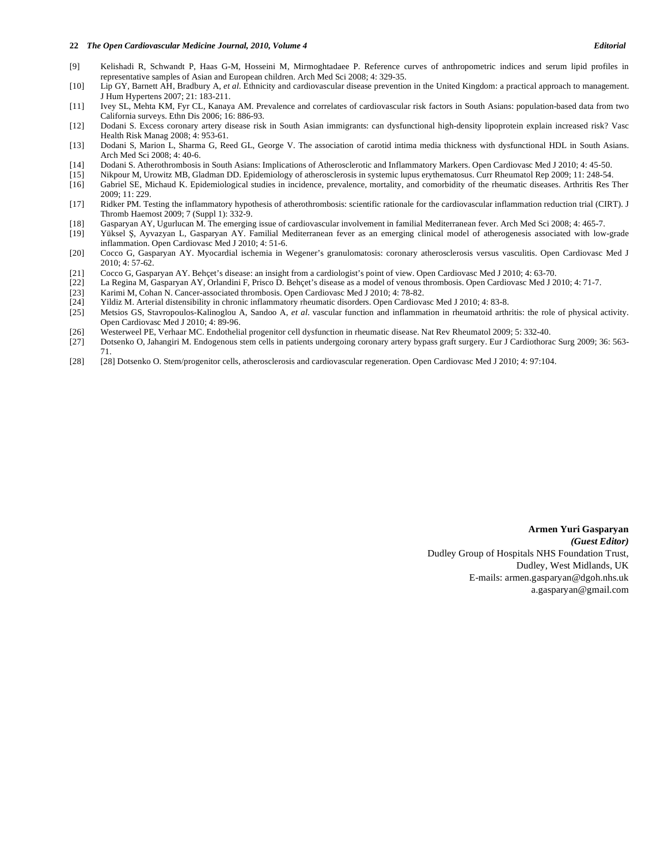#### **22** *The Open Cardiovascular Medicine Journal, 2010, Volume 4 Editorial*

- [9] Kelishadi R, Schwandt P, Haas G-M, Hosseini M, Mirmoghtadaee P. Reference curves of anthropometric indices and serum lipid profiles in representative samples of Asian and European children. Arch Med Sci 2008; 4: 329-35.
- [10] Lip GY, Barnett AH, Bradbury A, *et al*. Ethnicity and cardiovascular disease prevention in the United Kingdom: a practical approach to management. J Hum Hypertens 2007; 21: 183-211.
- [11] Ivey SL, Mehta KM, Fyr CL, Kanaya AM. Prevalence and correlates of cardiovascular risk factors in South Asians: population-based data from two California surveys. Ethn Dis 2006; 16: 886-93.
- [12] Dodani S. Excess coronary artery disease risk in South Asian immigrants: can dysfunctional high-density lipoprotein explain increased risk? Vasc Health Risk Manag 2008; 4: 953-61.
- [13] Dodani S, Marion L, Sharma G, Reed GL, George V. The association of carotid intima media thickness with dysfunctional HDL in South Asians. Arch Med Sci 2008; 4: 40-6.
- [14] Dodani S. Atherothrombosis in South Asians: Implications of Atherosclerotic and Inflammatory Markers. Open Cardiovasc Med J 2010; 4: 45-50.
- [15] Nikpour M, Urowitz MB, Gladman DD. Epidemiology of atherosclerosis in systemic lupus erythematosus. Curr Rheumatol Rep 2009; 11: 248-54.
- [16] Gabriel SE, Michaud K. Epidemiological studies in incidence, prevalence, mortality, and comorbidity of the rheumatic diseases. Arthritis Res Ther 2009; 11: 229.
- [17] Ridker PM. Testing the inflammatory hypothesis of atherothrombosis: scientific rationale for the cardiovascular inflammation reduction trial (CIRT). J Thromb Haemost 2009; 7 (Suppl 1): 332-9.
- [18] Gasparyan AY, Ugurlucan M. The emerging issue of cardiovascular involvement in familial Mediterranean fever. Arch Med Sci 2008; 4: 465-7.
- Yüksel S, Ayvazyan L, Gasparyan AY. Familial Mediterranean fever as an emerging clinical model of atherogenesis associated with low-grade inflammation. Open Cardiovasc Med J 2010; 4: 51-6.
- [20] Cocco G, Gasparyan AY. Myocardial ischemia in Wegener's granulomatosis: coronary atherosclerosis versus vasculitis. Open Cardiovasc Med J  $2010: 4: 57-62.$
- [21] Cocco G, Gasparyan AY. Behçet's disease: an insight from a cardiologist's point of view. Open Cardiovasc Med J 2010; 4: 63-70.
- [22] La Regina M, Gasparyan AY, Orlandini F, Prisco D. Behçet's disease as a model of venous thrombosis. Open Cardiovasc Med J 2010; 4: 71-7.
- [23] Karimi M, Cohan N. Cancer-associated thrombosis. Open Cardiovasc Med J 2010; 4: 78-82.
- [24] Yildiz M. Arterial distensibility in chronic inflammatory rheumatic disorders. Open Cardiovasc Med J 2010; 4: 83-8.
- [25] Metsios GS, Stavropoulos-Kalinoglou A, Sandoo A, *et al*. vascular function and inflammation in rheumatoid arthritis: the role of physical activity. Open Cardiovasc Med J 2010; 4: 89-96.
- [26] Westerweel PE, Verhaar MC. Endothelial progenitor cell dysfunction in rheumatic disease. Nat Rev Rheumatol 2009; 5: 332-40.
- [27] Dotsenko O, Jahangiri M. Endogenous stem cells in patients undergoing coronary artery bypass graft surgery. Eur J Cardiothorac Surg 2009; 36: 563- 71.
- [28] [28] Dotsenko O. Stem/progenitor cells, atherosclerosis and cardiovascular regeneration. Open Cardiovasc Med J 2010; 4: 97:104.

**Armen Yuri Gasparyan**  *(Guest Editor)* Dudley Group of Hospitals NHS Foundation Trust, Dudley, West Midlands, UK E-mails: armen.gasparyan@dgoh.nhs.uk a.gasparyan@gmail.com